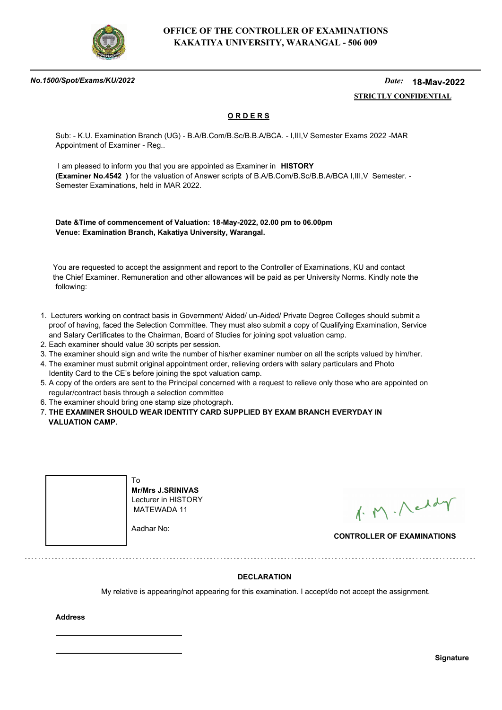

#### *No.1500/Spot/Exams/KU/2022*

#### *Date:*  **STRICTLY CONFIDENTIAL 18-May-2022**

## **O R D E R S**

Sub: - K.U. Examination Branch (UG) - B.A/B.Com/B.Sc/B.B.A/BCA. - I,III,V Semester Exams 2022 -MAR Appointment of Examiner - Reg..

 I am pleased to inform you that you are appointed as Examiner in **HISTORY (Examiner No.4542 )** for the valuation of Answer scripts of B.A/B.Com/B.Sc/B.B.A/BCA I,III,V Semester. - Semester Examinations, held in MAR 2022.

**Date &Time of commencement of Valuation: 18-May-2022, 02.00 pm to 06.00pm Venue: Examination Branch, Kakatiya University, Warangal.**

 You are requested to accept the assignment and report to the Controller of Examinations, KU and contact the Chief Examiner. Remuneration and other allowances will be paid as per University Norms. Kindly note the following:

- 1. Lecturers working on contract basis in Government/ Aided/ un-Aided/ Private Degree Colleges should submit a proof of having, faced the Selection Committee. They must also submit a copy of Qualifying Examination, Service and Salary Certificates to the Chairman, Board of Studies for joining spot valuation camp.
- 2. Each examiner should value 30 scripts per session.
- 3. The examiner should sign and write the number of his/her examiner number on all the scripts valued by him/her.
- 4. The examiner must submit original appointment order, relieving orders with salary particulars and Photo Identity Card to the CE's before joining the spot valuation camp.
- 5. A copy of the orders are sent to the Principal concerned with a request to relieve only those who are appointed on regular/contract basis through a selection committee
- 6. The examiner should bring one stamp size photograph.
- 7. **THE EXAMINER SHOULD WEAR IDENTITY CARD SUPPLIED BY EXAM BRANCH EVERYDAY IN VALUATION CAMP.**



**Mr/Mrs J.SRINIVAS** Lecturer in HISTORY MATEWADA 11

Aadhar No:

1. M. Neddy

**CONTROLLER OF EXAMINATIONS**

### **DECLARATION**

My relative is appearing/not appearing for this examination. I accept/do not accept the assignment.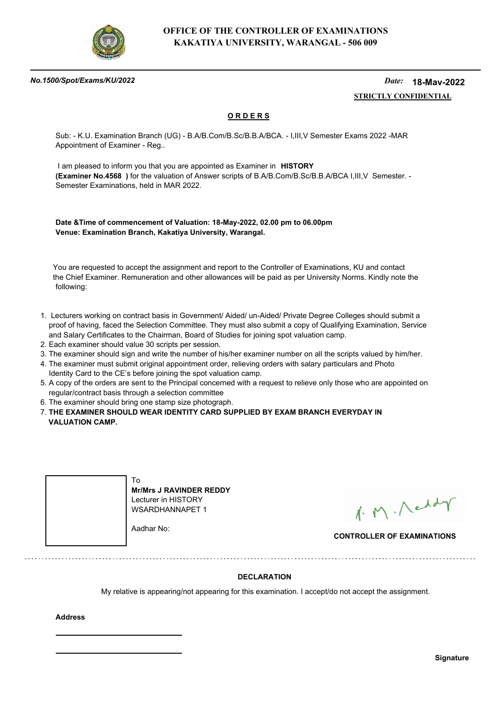

#### *No.1500/Spot/Exams/KU/2022*

#### *Date:*  **STRICTLY CONFIDENTIAL 18-May-2022**

## **O R D E R S**

Sub: - K.U. Examination Branch (UG) - B.A/B.Com/B.Sc/B.B.A/BCA. - I,III,V Semester Exams 2022 -MAR Appointment of Examiner - Reg..

 I am pleased to inform you that you are appointed as Examiner in **HISTORY (Examiner No.4568 )** for the valuation of Answer scripts of B.A/B.Com/B.Sc/B.B.A/BCA I,III,V Semester. - Semester Examinations, held in MAR 2022.

**Date &Time of commencement of Valuation: 18-May-2022, 02.00 pm to 06.00pm Venue: Examination Branch, Kakatiya University, Warangal.**

 You are requested to accept the assignment and report to the Controller of Examinations, KU and contact the Chief Examiner. Remuneration and other allowances will be paid as per University Norms. Kindly note the following:

- 1. Lecturers working on contract basis in Government/ Aided/ un-Aided/ Private Degree Colleges should submit a proof of having, faced the Selection Committee. They must also submit a copy of Qualifying Examination, Service and Salary Certificates to the Chairman, Board of Studies for joining spot valuation camp.
- 2. Each examiner should value 30 scripts per session.
- 3. The examiner should sign and write the number of his/her examiner number on all the scripts valued by him/her.
- 4. The examiner must submit original appointment order, relieving orders with salary particulars and Photo Identity Card to the CE's before joining the spot valuation camp.
- 5. A copy of the orders are sent to the Principal concerned with a request to relieve only those who are appointed on regular/contract basis through a selection committee
- 6. The examiner should bring one stamp size photograph.
- 7. **THE EXAMINER SHOULD WEAR IDENTITY CARD SUPPLIED BY EXAM BRANCH EVERYDAY IN VALUATION CAMP.**



**Mr/Mrs J RAVINDER REDDY** Lecturer in HISTORY WSARDHANNAPET 1

Aadhar No:

1. M. Neddy

**CONTROLLER OF EXAMINATIONS**

### **DECLARATION**

My relative is appearing/not appearing for this examination. I accept/do not accept the assignment.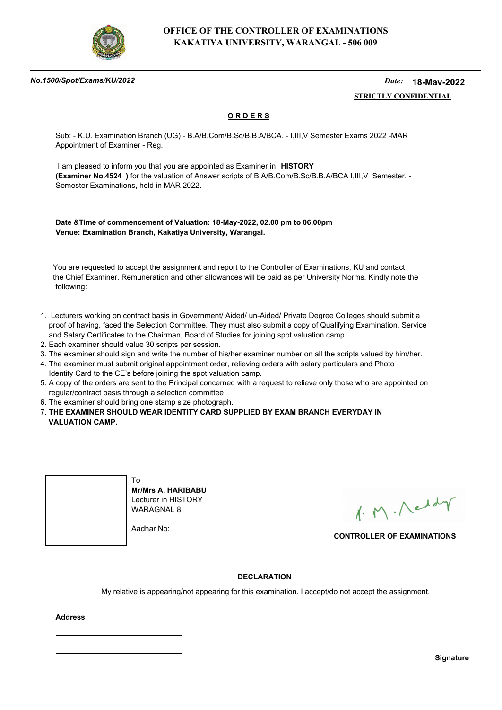

#### *No.1500/Spot/Exams/KU/2022*

#### *Date:*  **STRICTLY CONFIDENTIAL 18-May-2022**

## **O R D E R S**

Sub: - K.U. Examination Branch (UG) - B.A/B.Com/B.Sc/B.B.A/BCA. - I,III,V Semester Exams 2022 -MAR Appointment of Examiner - Reg..

 I am pleased to inform you that you are appointed as Examiner in **HISTORY (Examiner No.4524 )** for the valuation of Answer scripts of B.A/B.Com/B.Sc/B.B.A/BCA I,III,V Semester. - Semester Examinations, held in MAR 2022.

**Date &Time of commencement of Valuation: 18-May-2022, 02.00 pm to 06.00pm Venue: Examination Branch, Kakatiya University, Warangal.**

 You are requested to accept the assignment and report to the Controller of Examinations, KU and contact the Chief Examiner. Remuneration and other allowances will be paid as per University Norms. Kindly note the following:

- 1. Lecturers working on contract basis in Government/ Aided/ un-Aided/ Private Degree Colleges should submit a proof of having, faced the Selection Committee. They must also submit a copy of Qualifying Examination, Service and Salary Certificates to the Chairman, Board of Studies for joining spot valuation camp.
- 2. Each examiner should value 30 scripts per session.
- 3. The examiner should sign and write the number of his/her examiner number on all the scripts valued by him/her.
- 4. The examiner must submit original appointment order, relieving orders with salary particulars and Photo Identity Card to the CE's before joining the spot valuation camp.
- 5. A copy of the orders are sent to the Principal concerned with a request to relieve only those who are appointed on regular/contract basis through a selection committee
- 6. The examiner should bring one stamp size photograph.
- 7. **THE EXAMINER SHOULD WEAR IDENTITY CARD SUPPLIED BY EXAM BRANCH EVERYDAY IN VALUATION CAMP.**



**Mr/Mrs A. HARIBABU** Lecturer in HISTORY WARAGNAL 8

Aadhar No:

1. M. Neddy

**CONTROLLER OF EXAMINATIONS**

### **DECLARATION**

My relative is appearing/not appearing for this examination. I accept/do not accept the assignment.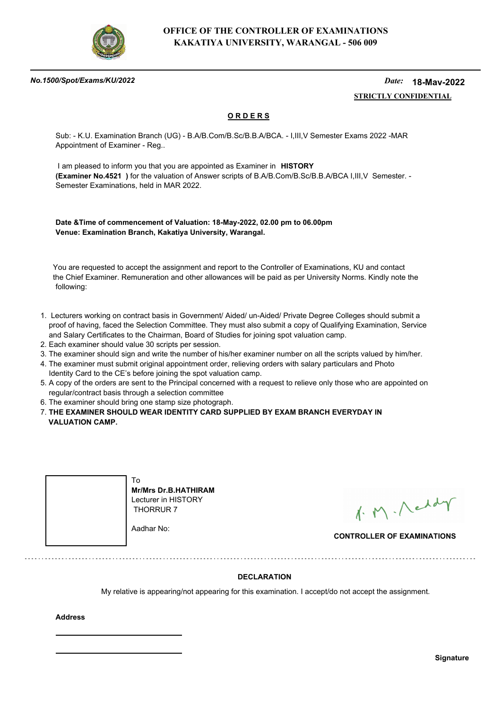

#### *No.1500/Spot/Exams/KU/2022*

#### *Date:*  **STRICTLY CONFIDENTIAL 18-May-2022**

## **O R D E R S**

Sub: - K.U. Examination Branch (UG) - B.A/B.Com/B.Sc/B.B.A/BCA. - I,III,V Semester Exams 2022 -MAR Appointment of Examiner - Reg..

 I am pleased to inform you that you are appointed as Examiner in **HISTORY (Examiner No.4521 )** for the valuation of Answer scripts of B.A/B.Com/B.Sc/B.B.A/BCA I,III,V Semester. - Semester Examinations, held in MAR 2022.

**Date &Time of commencement of Valuation: 18-May-2022, 02.00 pm to 06.00pm Venue: Examination Branch, Kakatiya University, Warangal.**

 You are requested to accept the assignment and report to the Controller of Examinations, KU and contact the Chief Examiner. Remuneration and other allowances will be paid as per University Norms. Kindly note the following:

- 1. Lecturers working on contract basis in Government/ Aided/ un-Aided/ Private Degree Colleges should submit a proof of having, faced the Selection Committee. They must also submit a copy of Qualifying Examination, Service and Salary Certificates to the Chairman, Board of Studies for joining spot valuation camp.
- 2. Each examiner should value 30 scripts per session.
- 3. The examiner should sign and write the number of his/her examiner number on all the scripts valued by him/her.
- 4. The examiner must submit original appointment order, relieving orders with salary particulars and Photo Identity Card to the CE's before joining the spot valuation camp.
- 5. A copy of the orders are sent to the Principal concerned with a request to relieve only those who are appointed on regular/contract basis through a selection committee
- 6. The examiner should bring one stamp size photograph.
- 7. **THE EXAMINER SHOULD WEAR IDENTITY CARD SUPPLIED BY EXAM BRANCH EVERYDAY IN VALUATION CAMP.**



**Mr/Mrs Dr.B.HATHIRAM** Lecturer in HISTORY THORRUR 7

Aadhar No:

1. M. Neddy

**CONTROLLER OF EXAMINATIONS**

### **DECLARATION**

My relative is appearing/not appearing for this examination. I accept/do not accept the assignment.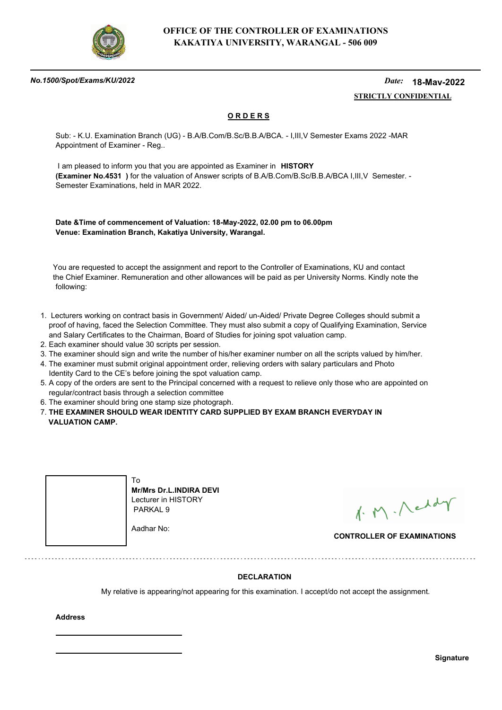

#### *No.1500/Spot/Exams/KU/2022*

#### *Date:*  **STRICTLY CONFIDENTIAL 18-May-2022**

## **O R D E R S**

Sub: - K.U. Examination Branch (UG) - B.A/B.Com/B.Sc/B.B.A/BCA. - I,III,V Semester Exams 2022 -MAR Appointment of Examiner - Reg..

 I am pleased to inform you that you are appointed as Examiner in **HISTORY (Examiner No.4531 )** for the valuation of Answer scripts of B.A/B.Com/B.Sc/B.B.A/BCA I,III,V Semester. - Semester Examinations, held in MAR 2022.

**Date &Time of commencement of Valuation: 18-May-2022, 02.00 pm to 06.00pm Venue: Examination Branch, Kakatiya University, Warangal.**

 You are requested to accept the assignment and report to the Controller of Examinations, KU and contact the Chief Examiner. Remuneration and other allowances will be paid as per University Norms. Kindly note the following:

- 1. Lecturers working on contract basis in Government/ Aided/ un-Aided/ Private Degree Colleges should submit a proof of having, faced the Selection Committee. They must also submit a copy of Qualifying Examination, Service and Salary Certificates to the Chairman, Board of Studies for joining spot valuation camp.
- 2. Each examiner should value 30 scripts per session.
- 3. The examiner should sign and write the number of his/her examiner number on all the scripts valued by him/her.
- 4. The examiner must submit original appointment order, relieving orders with salary particulars and Photo Identity Card to the CE's before joining the spot valuation camp.
- 5. A copy of the orders are sent to the Principal concerned with a request to relieve only those who are appointed on regular/contract basis through a selection committee
- 6. The examiner should bring one stamp size photograph.
- 7. **THE EXAMINER SHOULD WEAR IDENTITY CARD SUPPLIED BY EXAM BRANCH EVERYDAY IN VALUATION CAMP.**



**Mr/Mrs Dr.L.INDIRA DEVI** Lecturer in HISTORY

1. M. Neddy

**CONTROLLER OF EXAMINATIONS**

### **DECLARATION**

My relative is appearing/not appearing for this examination. I accept/do not accept the assignment.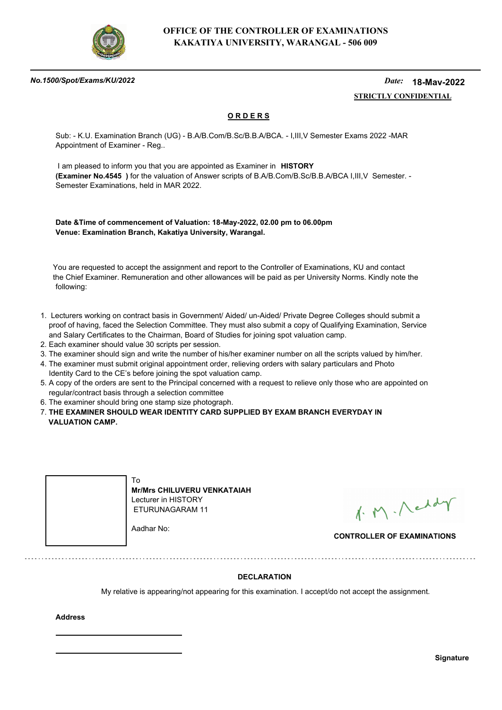

#### *No.1500/Spot/Exams/KU/2022*

#### *Date:*  **STRICTLY CONFIDENTIAL 18-May-2022**

## **O R D E R S**

Sub: - K.U. Examination Branch (UG) - B.A/B.Com/B.Sc/B.B.A/BCA. - I,III,V Semester Exams 2022 -MAR Appointment of Examiner - Reg..

 I am pleased to inform you that you are appointed as Examiner in **HISTORY (Examiner No.4545 )** for the valuation of Answer scripts of B.A/B.Com/B.Sc/B.B.A/BCA I,III,V Semester. - Semester Examinations, held in MAR 2022.

**Date &Time of commencement of Valuation: 18-May-2022, 02.00 pm to 06.00pm Venue: Examination Branch, Kakatiya University, Warangal.**

 You are requested to accept the assignment and report to the Controller of Examinations, KU and contact the Chief Examiner. Remuneration and other allowances will be paid as per University Norms. Kindly note the following:

- 1. Lecturers working on contract basis in Government/ Aided/ un-Aided/ Private Degree Colleges should submit a proof of having, faced the Selection Committee. They must also submit a copy of Qualifying Examination, Service and Salary Certificates to the Chairman, Board of Studies for joining spot valuation camp.
- 2. Each examiner should value 30 scripts per session.
- 3. The examiner should sign and write the number of his/her examiner number on all the scripts valued by him/her.
- 4. The examiner must submit original appointment order, relieving orders with salary particulars and Photo Identity Card to the CE's before joining the spot valuation camp.
- 5. A copy of the orders are sent to the Principal concerned with a request to relieve only those who are appointed on regular/contract basis through a selection committee
- 6. The examiner should bring one stamp size photograph.
- 7. **THE EXAMINER SHOULD WEAR IDENTITY CARD SUPPLIED BY EXAM BRANCH EVERYDAY IN VALUATION CAMP.**



**Mr/Mrs CHILUVERU VENKATAIAH** Lecturer in HISTORY ETURUNAGARAM 11

Aadhar No:

1. M. Neddy

**CONTROLLER OF EXAMINATIONS**

### **DECLARATION**

My relative is appearing/not appearing for this examination. I accept/do not accept the assignment.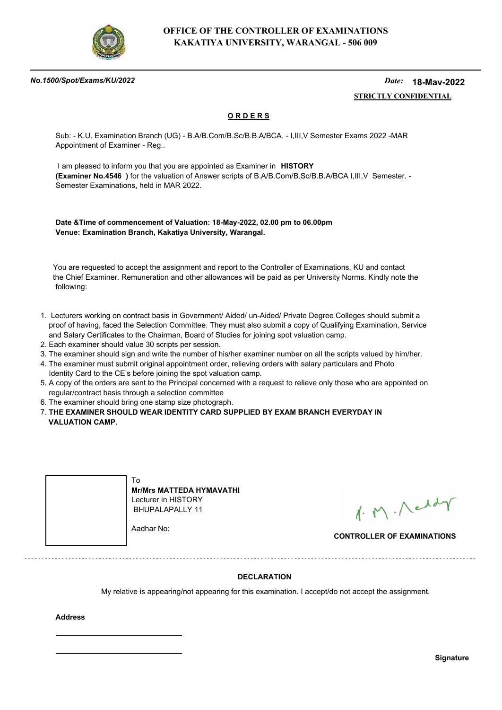

#### *No.1500/Spot/Exams/KU/2022*

#### *Date:*  **STRICTLY CONFIDENTIAL 18-May-2022**

## **O R D E R S**

Sub: - K.U. Examination Branch (UG) - B.A/B.Com/B.Sc/B.B.A/BCA. - I,III,V Semester Exams 2022 -MAR Appointment of Examiner - Reg..

 I am pleased to inform you that you are appointed as Examiner in **HISTORY (Examiner No.4546 )** for the valuation of Answer scripts of B.A/B.Com/B.Sc/B.B.A/BCA I,III,V Semester. - Semester Examinations, held in MAR 2022.

**Date &Time of commencement of Valuation: 18-May-2022, 02.00 pm to 06.00pm Venue: Examination Branch, Kakatiya University, Warangal.**

 You are requested to accept the assignment and report to the Controller of Examinations, KU and contact the Chief Examiner. Remuneration and other allowances will be paid as per University Norms. Kindly note the following:

- 1. Lecturers working on contract basis in Government/ Aided/ un-Aided/ Private Degree Colleges should submit a proof of having, faced the Selection Committee. They must also submit a copy of Qualifying Examination, Service and Salary Certificates to the Chairman, Board of Studies for joining spot valuation camp.
- 2. Each examiner should value 30 scripts per session.
- 3. The examiner should sign and write the number of his/her examiner number on all the scripts valued by him/her.
- 4. The examiner must submit original appointment order, relieving orders with salary particulars and Photo Identity Card to the CE's before joining the spot valuation camp.
- 5. A copy of the orders are sent to the Principal concerned with a request to relieve only those who are appointed on regular/contract basis through a selection committee
- 6. The examiner should bring one stamp size photograph.
- 7. **THE EXAMINER SHOULD WEAR IDENTITY CARD SUPPLIED BY EXAM BRANCH EVERYDAY IN VALUATION CAMP.**



**Mr/Mrs MATTEDA HYMAVATHI** Lecturer in HISTORY BHUPALAPALLY 11

Aadhar No:

1. M. Neddy

**CONTROLLER OF EXAMINATIONS**

### **DECLARATION**

My relative is appearing/not appearing for this examination. I accept/do not accept the assignment.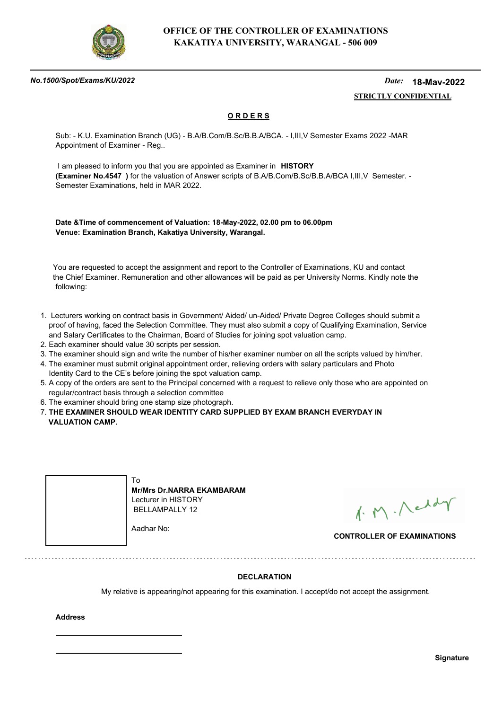

#### *No.1500/Spot/Exams/KU/2022*

#### *Date:*  **STRICTLY CONFIDENTIAL 18-May-2022**

## **O R D E R S**

Sub: - K.U. Examination Branch (UG) - B.A/B.Com/B.Sc/B.B.A/BCA. - I,III,V Semester Exams 2022 -MAR Appointment of Examiner - Reg..

 I am pleased to inform you that you are appointed as Examiner in **HISTORY (Examiner No.4547 )** for the valuation of Answer scripts of B.A/B.Com/B.Sc/B.B.A/BCA I,III,V Semester. - Semester Examinations, held in MAR 2022.

**Date &Time of commencement of Valuation: 18-May-2022, 02.00 pm to 06.00pm Venue: Examination Branch, Kakatiya University, Warangal.**

 You are requested to accept the assignment and report to the Controller of Examinations, KU and contact the Chief Examiner. Remuneration and other allowances will be paid as per University Norms. Kindly note the following:

- 1. Lecturers working on contract basis in Government/ Aided/ un-Aided/ Private Degree Colleges should submit a proof of having, faced the Selection Committee. They must also submit a copy of Qualifying Examination, Service and Salary Certificates to the Chairman, Board of Studies for joining spot valuation camp.
- 2. Each examiner should value 30 scripts per session.
- 3. The examiner should sign and write the number of his/her examiner number on all the scripts valued by him/her.
- 4. The examiner must submit original appointment order, relieving orders with salary particulars and Photo Identity Card to the CE's before joining the spot valuation camp.
- 5. A copy of the orders are sent to the Principal concerned with a request to relieve only those who are appointed on regular/contract basis through a selection committee
- 6. The examiner should bring one stamp size photograph.
- 7. **THE EXAMINER SHOULD WEAR IDENTITY CARD SUPPLIED BY EXAM BRANCH EVERYDAY IN VALUATION CAMP.**



**Mr/Mrs Dr.NARRA EKAMBARAM** Lecturer in HISTORY BELLAMPALLY 12

Aadhar No:

1. M. Neddy

**CONTROLLER OF EXAMINATIONS**

### **DECLARATION**

My relative is appearing/not appearing for this examination. I accept/do not accept the assignment.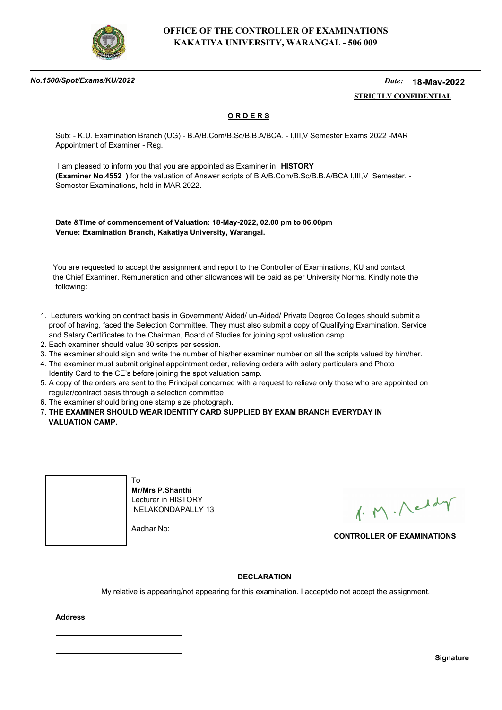

#### *No.1500/Spot/Exams/KU/2022*

#### *Date:*  **STRICTLY CONFIDENTIAL 18-May-2022**

## **O R D E R S**

Sub: - K.U. Examination Branch (UG) - B.A/B.Com/B.Sc/B.B.A/BCA. - I,III,V Semester Exams 2022 -MAR Appointment of Examiner - Reg..

 I am pleased to inform you that you are appointed as Examiner in **HISTORY (Examiner No.4552 )** for the valuation of Answer scripts of B.A/B.Com/B.Sc/B.B.A/BCA I,III,V Semester. - Semester Examinations, held in MAR 2022.

**Date &Time of commencement of Valuation: 18-May-2022, 02.00 pm to 06.00pm Venue: Examination Branch, Kakatiya University, Warangal.**

 You are requested to accept the assignment and report to the Controller of Examinations, KU and contact the Chief Examiner. Remuneration and other allowances will be paid as per University Norms. Kindly note the following:

- 1. Lecturers working on contract basis in Government/ Aided/ un-Aided/ Private Degree Colleges should submit a proof of having, faced the Selection Committee. They must also submit a copy of Qualifying Examination, Service and Salary Certificates to the Chairman, Board of Studies for joining spot valuation camp.
- 2. Each examiner should value 30 scripts per session.
- 3. The examiner should sign and write the number of his/her examiner number on all the scripts valued by him/her.
- 4. The examiner must submit original appointment order, relieving orders with salary particulars and Photo Identity Card to the CE's before joining the spot valuation camp.
- 5. A copy of the orders are sent to the Principal concerned with a request to relieve only those who are appointed on regular/contract basis through a selection committee
- 6. The examiner should bring one stamp size photograph.
- 7. **THE EXAMINER SHOULD WEAR IDENTITY CARD SUPPLIED BY EXAM BRANCH EVERYDAY IN VALUATION CAMP.**



1. M. Neddy

**CONTROLLER OF EXAMINATIONS**

### **DECLARATION**

My relative is appearing/not appearing for this examination. I accept/do not accept the assignment.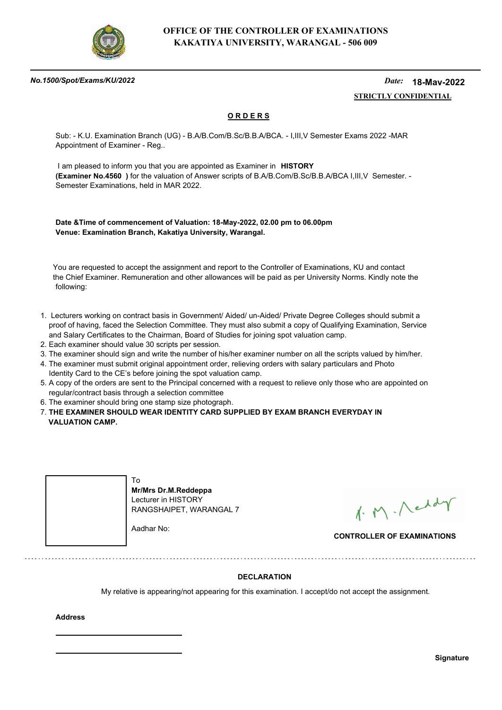

#### *No.1500/Spot/Exams/KU/2022*

#### *Date:*  **STRICTLY CONFIDENTIAL 18-May-2022**

## **O R D E R S**

Sub: - K.U. Examination Branch (UG) - B.A/B.Com/B.Sc/B.B.A/BCA. - I,III,V Semester Exams 2022 -MAR Appointment of Examiner - Reg..

 I am pleased to inform you that you are appointed as Examiner in **HISTORY (Examiner No.4560 )** for the valuation of Answer scripts of B.A/B.Com/B.Sc/B.B.A/BCA I,III,V Semester. - Semester Examinations, held in MAR 2022.

**Date &Time of commencement of Valuation: 18-May-2022, 02.00 pm to 06.00pm Venue: Examination Branch, Kakatiya University, Warangal.**

 You are requested to accept the assignment and report to the Controller of Examinations, KU and contact the Chief Examiner. Remuneration and other allowances will be paid as per University Norms. Kindly note the following:

- 1. Lecturers working on contract basis in Government/ Aided/ un-Aided/ Private Degree Colleges should submit a proof of having, faced the Selection Committee. They must also submit a copy of Qualifying Examination, Service and Salary Certificates to the Chairman, Board of Studies for joining spot valuation camp.
- 2. Each examiner should value 30 scripts per session.
- 3. The examiner should sign and write the number of his/her examiner number on all the scripts valued by him/her.
- 4. The examiner must submit original appointment order, relieving orders with salary particulars and Photo Identity Card to the CE's before joining the spot valuation camp.
- 5. A copy of the orders are sent to the Principal concerned with a request to relieve only those who are appointed on regular/contract basis through a selection committee
- 6. The examiner should bring one stamp size photograph.
- 7. **THE EXAMINER SHOULD WEAR IDENTITY CARD SUPPLIED BY EXAM BRANCH EVERYDAY IN VALUATION CAMP.**



1. M. Neddy

**CONTROLLER OF EXAMINATIONS**

### **DECLARATION**

My relative is appearing/not appearing for this examination. I accept/do not accept the assignment.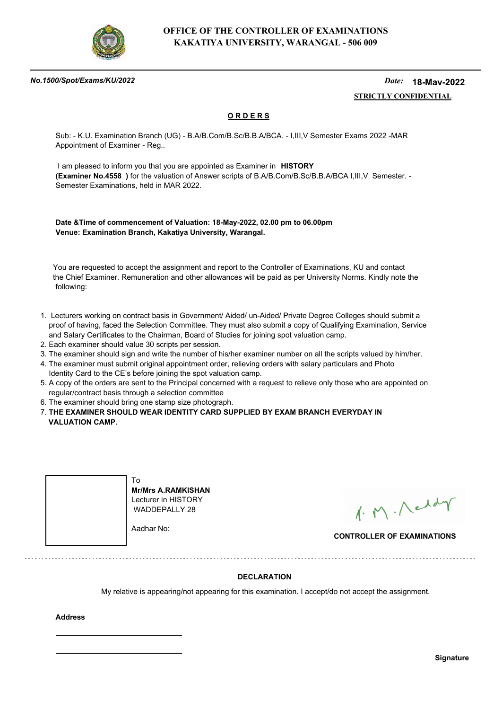

#### *No.1500/Spot/Exams/KU/2022*

#### *Date:*  **STRICTLY CONFIDENTIAL 18-May-2022**

## **O R D E R S**

Sub: - K.U. Examination Branch (UG) - B.A/B.Com/B.Sc/B.B.A/BCA. - I,III,V Semester Exams 2022 -MAR Appointment of Examiner - Reg..

 I am pleased to inform you that you are appointed as Examiner in **HISTORY (Examiner No.4558 )** for the valuation of Answer scripts of B.A/B.Com/B.Sc/B.B.A/BCA I,III,V Semester. - Semester Examinations, held in MAR 2022.

**Date &Time of commencement of Valuation: 18-May-2022, 02.00 pm to 06.00pm Venue: Examination Branch, Kakatiya University, Warangal.**

 You are requested to accept the assignment and report to the Controller of Examinations, KU and contact the Chief Examiner. Remuneration and other allowances will be paid as per University Norms. Kindly note the following:

- 1. Lecturers working on contract basis in Government/ Aided/ un-Aided/ Private Degree Colleges should submit a proof of having, faced the Selection Committee. They must also submit a copy of Qualifying Examination, Service and Salary Certificates to the Chairman, Board of Studies for joining spot valuation camp.
- 2. Each examiner should value 30 scripts per session.
- 3. The examiner should sign and write the number of his/her examiner number on all the scripts valued by him/her.
- 4. The examiner must submit original appointment order, relieving orders with salary particulars and Photo Identity Card to the CE's before joining the spot valuation camp.
- 5. A copy of the orders are sent to the Principal concerned with a request to relieve only those who are appointed on regular/contract basis through a selection committee
- 6. The examiner should bring one stamp size photograph.
- 7. **THE EXAMINER SHOULD WEAR IDENTITY CARD SUPPLIED BY EXAM BRANCH EVERYDAY IN VALUATION CAMP.**



**Mr/Mrs A.RAMKISHAN** Lecturer in HISTORY WADDEPALLY 28

Aadhar No:

1. M. Neddy

**CONTROLLER OF EXAMINATIONS**

### **DECLARATION**

My relative is appearing/not appearing for this examination. I accept/do not accept the assignment.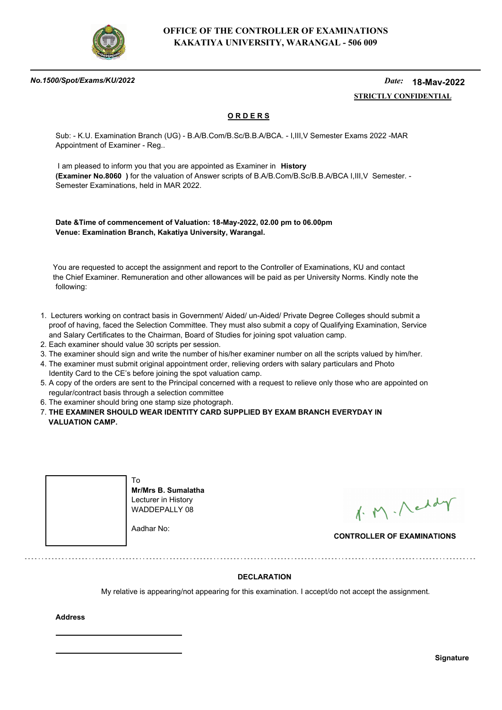

#### *No.1500/Spot/Exams/KU/2022*

#### *Date:*  **STRICTLY CONFIDENTIAL 18-May-2022**

## **O R D E R S**

Sub: - K.U. Examination Branch (UG) - B.A/B.Com/B.Sc/B.B.A/BCA. - I,III,V Semester Exams 2022 -MAR Appointment of Examiner - Reg..

 I am pleased to inform you that you are appointed as Examiner in **History (Examiner No.8060 )** for the valuation of Answer scripts of B.A/B.Com/B.Sc/B.B.A/BCA I,III,V Semester. - Semester Examinations, held in MAR 2022.

**Date &Time of commencement of Valuation: 18-May-2022, 02.00 pm to 06.00pm Venue: Examination Branch, Kakatiya University, Warangal.**

 You are requested to accept the assignment and report to the Controller of Examinations, KU and contact the Chief Examiner. Remuneration and other allowances will be paid as per University Norms. Kindly note the following:

- 1. Lecturers working on contract basis in Government/ Aided/ un-Aided/ Private Degree Colleges should submit a proof of having, faced the Selection Committee. They must also submit a copy of Qualifying Examination, Service and Salary Certificates to the Chairman, Board of Studies for joining spot valuation camp.
- 2. Each examiner should value 30 scripts per session.
- 3. The examiner should sign and write the number of his/her examiner number on all the scripts valued by him/her.
- 4. The examiner must submit original appointment order, relieving orders with salary particulars and Photo Identity Card to the CE's before joining the spot valuation camp.
- 5. A copy of the orders are sent to the Principal concerned with a request to relieve only those who are appointed on regular/contract basis through a selection committee
- 6. The examiner should bring one stamp size photograph.
- 7. **THE EXAMINER SHOULD WEAR IDENTITY CARD SUPPLIED BY EXAM BRANCH EVERYDAY IN VALUATION CAMP.**



**Mr/Mrs B. Sumalatha** Lecturer in History WADDEPALLY 08

Aadhar No:

1. M. Neddy

**CONTROLLER OF EXAMINATIONS**

### **DECLARATION**

My relative is appearing/not appearing for this examination. I accept/do not accept the assignment.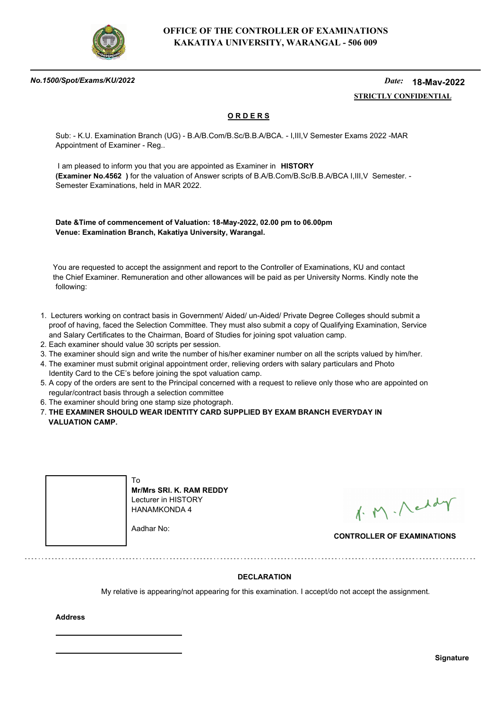

#### *No.1500/Spot/Exams/KU/2022*

#### *Date:*  **STRICTLY CONFIDENTIAL 18-May-2022**

## **O R D E R S**

Sub: - K.U. Examination Branch (UG) - B.A/B.Com/B.Sc/B.B.A/BCA. - I,III,V Semester Exams 2022 -MAR Appointment of Examiner - Reg..

 I am pleased to inform you that you are appointed as Examiner in **HISTORY (Examiner No.4562 )** for the valuation of Answer scripts of B.A/B.Com/B.Sc/B.B.A/BCA I,III,V Semester. - Semester Examinations, held in MAR 2022.

**Date &Time of commencement of Valuation: 18-May-2022, 02.00 pm to 06.00pm Venue: Examination Branch, Kakatiya University, Warangal.**

 You are requested to accept the assignment and report to the Controller of Examinations, KU and contact the Chief Examiner. Remuneration and other allowances will be paid as per University Norms. Kindly note the following:

- 1. Lecturers working on contract basis in Government/ Aided/ un-Aided/ Private Degree Colleges should submit a proof of having, faced the Selection Committee. They must also submit a copy of Qualifying Examination, Service and Salary Certificates to the Chairman, Board of Studies for joining spot valuation camp.
- 2. Each examiner should value 30 scripts per session.
- 3. The examiner should sign and write the number of his/her examiner number on all the scripts valued by him/her.
- 4. The examiner must submit original appointment order, relieving orders with salary particulars and Photo Identity Card to the CE's before joining the spot valuation camp.
- 5. A copy of the orders are sent to the Principal concerned with a request to relieve only those who are appointed on regular/contract basis through a selection committee
- 6. The examiner should bring one stamp size photograph.
- 7. **THE EXAMINER SHOULD WEAR IDENTITY CARD SUPPLIED BY EXAM BRANCH EVERYDAY IN VALUATION CAMP.**



**Mr/Mrs SRI. K. RAM REDDY** Lecturer in HISTORY HANAMKONDA 4

Aadhar No:

1. M. Neddy

**CONTROLLER OF EXAMINATIONS**

### **DECLARATION**

My relative is appearing/not appearing for this examination. I accept/do not accept the assignment.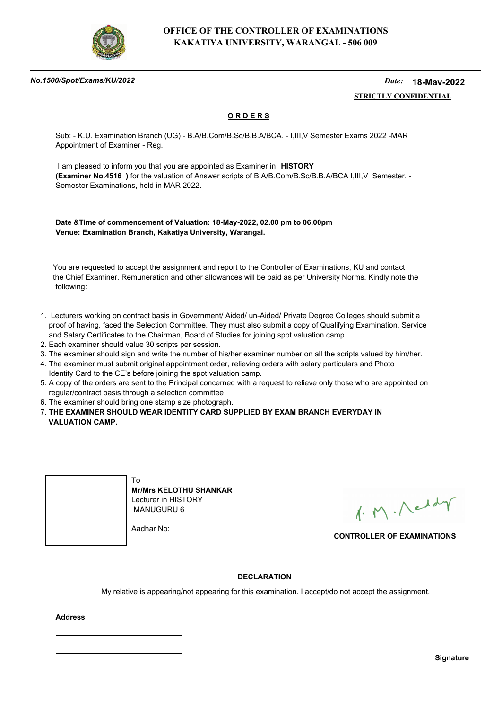

#### *No.1500/Spot/Exams/KU/2022*

#### *Date:*  **STRICTLY CONFIDENTIAL 18-May-2022**

## **O R D E R S**

Sub: - K.U. Examination Branch (UG) - B.A/B.Com/B.Sc/B.B.A/BCA. - I,III,V Semester Exams 2022 -MAR Appointment of Examiner - Reg..

 I am pleased to inform you that you are appointed as Examiner in **HISTORY (Examiner No.4516 )** for the valuation of Answer scripts of B.A/B.Com/B.Sc/B.B.A/BCA I,III,V Semester. - Semester Examinations, held in MAR 2022.

**Date &Time of commencement of Valuation: 18-May-2022, 02.00 pm to 06.00pm Venue: Examination Branch, Kakatiya University, Warangal.**

 You are requested to accept the assignment and report to the Controller of Examinations, KU and contact the Chief Examiner. Remuneration and other allowances will be paid as per University Norms. Kindly note the following:

- 1. Lecturers working on contract basis in Government/ Aided/ un-Aided/ Private Degree Colleges should submit a proof of having, faced the Selection Committee. They must also submit a copy of Qualifying Examination, Service and Salary Certificates to the Chairman, Board of Studies for joining spot valuation camp.
- 2. Each examiner should value 30 scripts per session.
- 3. The examiner should sign and write the number of his/her examiner number on all the scripts valued by him/her.
- 4. The examiner must submit original appointment order, relieving orders with salary particulars and Photo Identity Card to the CE's before joining the spot valuation camp.
- 5. A copy of the orders are sent to the Principal concerned with a request to relieve only those who are appointed on regular/contract basis through a selection committee
- 6. The examiner should bring one stamp size photograph.
- 7. **THE EXAMINER SHOULD WEAR IDENTITY CARD SUPPLIED BY EXAM BRANCH EVERYDAY IN VALUATION CAMP.**



**Mr/Mrs KELOTHU SHANKAR** Lecturer in HISTORY MANUGURU 6

Aadhar No:

1. M. Neddy

**CONTROLLER OF EXAMINATIONS**

### **DECLARATION**

My relative is appearing/not appearing for this examination. I accept/do not accept the assignment.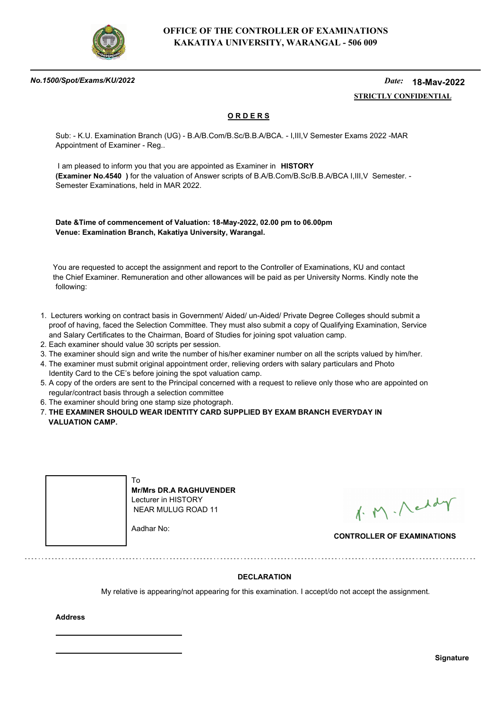

#### *No.1500/Spot/Exams/KU/2022*

#### *Date:*  **STRICTLY CONFIDENTIAL 18-May-2022**

## **O R D E R S**

Sub: - K.U. Examination Branch (UG) - B.A/B.Com/B.Sc/B.B.A/BCA. - I,III,V Semester Exams 2022 -MAR Appointment of Examiner - Reg..

 I am pleased to inform you that you are appointed as Examiner in **HISTORY (Examiner No.4540 )** for the valuation of Answer scripts of B.A/B.Com/B.Sc/B.B.A/BCA I,III,V Semester. - Semester Examinations, held in MAR 2022.

**Date &Time of commencement of Valuation: 18-May-2022, 02.00 pm to 06.00pm Venue: Examination Branch, Kakatiya University, Warangal.**

 You are requested to accept the assignment and report to the Controller of Examinations, KU and contact the Chief Examiner. Remuneration and other allowances will be paid as per University Norms. Kindly note the following:

- 1. Lecturers working on contract basis in Government/ Aided/ un-Aided/ Private Degree Colleges should submit a proof of having, faced the Selection Committee. They must also submit a copy of Qualifying Examination, Service and Salary Certificates to the Chairman, Board of Studies for joining spot valuation camp.
- 2. Each examiner should value 30 scripts per session.
- 3. The examiner should sign and write the number of his/her examiner number on all the scripts valued by him/her.
- 4. The examiner must submit original appointment order, relieving orders with salary particulars and Photo Identity Card to the CE's before joining the spot valuation camp.
- 5. A copy of the orders are sent to the Principal concerned with a request to relieve only those who are appointed on regular/contract basis through a selection committee
- 6. The examiner should bring one stamp size photograph.

7. **THE EXAMINER SHOULD WEAR IDENTITY CARD SUPPLIED BY EXAM BRANCH EVERYDAY IN VALUATION CAMP.**



**Mr/Mrs DR.A RAGHUVENDER** Lecturer in HISTORY NEAR MULUG ROAD 11

1. M. Neddy

**CONTROLLER OF EXAMINATIONS**

### **DECLARATION**

My relative is appearing/not appearing for this examination. I accept/do not accept the assignment.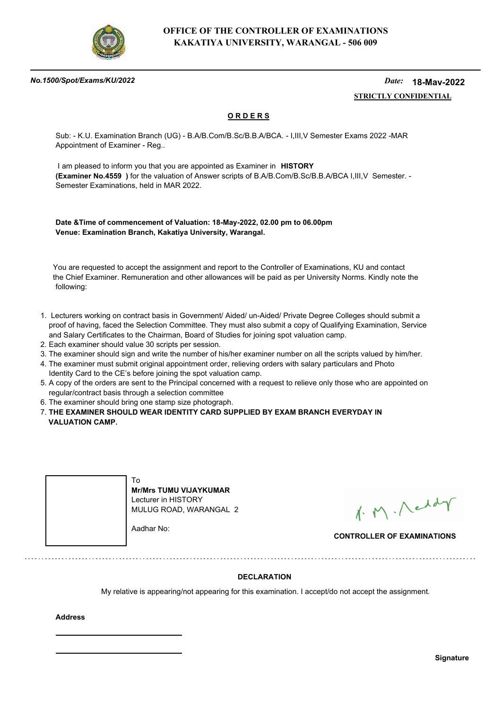

#### *No.1500/Spot/Exams/KU/2022*

#### *Date:*  **STRICTLY CONFIDENTIAL 18-May-2022**

## **O R D E R S**

Sub: - K.U. Examination Branch (UG) - B.A/B.Com/B.Sc/B.B.A/BCA. - I,III,V Semester Exams 2022 -MAR Appointment of Examiner - Reg..

 I am pleased to inform you that you are appointed as Examiner in **HISTORY (Examiner No.4559 )** for the valuation of Answer scripts of B.A/B.Com/B.Sc/B.B.A/BCA I,III,V Semester. - Semester Examinations, held in MAR 2022.

**Date &Time of commencement of Valuation: 18-May-2022, 02.00 pm to 06.00pm Venue: Examination Branch, Kakatiya University, Warangal.**

 You are requested to accept the assignment and report to the Controller of Examinations, KU and contact the Chief Examiner. Remuneration and other allowances will be paid as per University Norms. Kindly note the following:

- 1. Lecturers working on contract basis in Government/ Aided/ un-Aided/ Private Degree Colleges should submit a proof of having, faced the Selection Committee. They must also submit a copy of Qualifying Examination, Service and Salary Certificates to the Chairman, Board of Studies for joining spot valuation camp.
- 2. Each examiner should value 30 scripts per session.
- 3. The examiner should sign and write the number of his/her examiner number on all the scripts valued by him/her.
- 4. The examiner must submit original appointment order, relieving orders with salary particulars and Photo Identity Card to the CE's before joining the spot valuation camp.
- 5. A copy of the orders are sent to the Principal concerned with a request to relieve only those who are appointed on regular/contract basis through a selection committee
- 6. The examiner should bring one stamp size photograph.
- 7. **THE EXAMINER SHOULD WEAR IDENTITY CARD SUPPLIED BY EXAM BRANCH EVERYDAY IN VALUATION CAMP.**



1. M. Neddy

**CONTROLLER OF EXAMINATIONS**

### **DECLARATION**

My relative is appearing/not appearing for this examination. I accept/do not accept the assignment.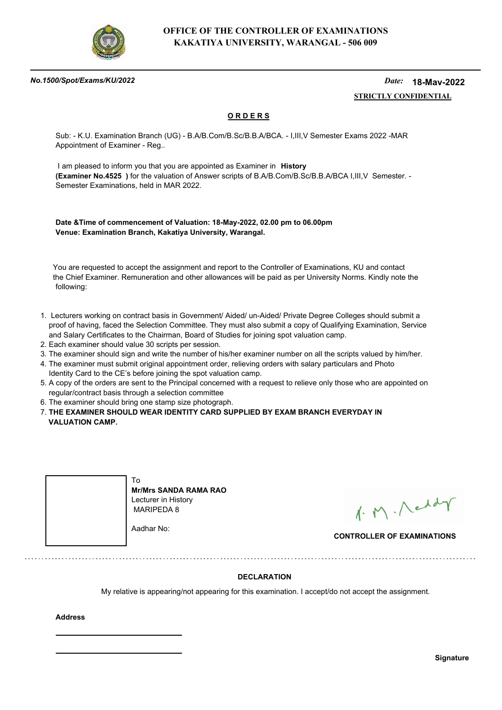

#### *No.1500/Spot/Exams/KU/2022*

#### *Date:*  **STRICTLY CONFIDENTIAL 18-May-2022**

## **O R D E R S**

Sub: - K.U. Examination Branch (UG) - B.A/B.Com/B.Sc/B.B.A/BCA. - I,III,V Semester Exams 2022 -MAR Appointment of Examiner - Reg..

 I am pleased to inform you that you are appointed as Examiner in **History (Examiner No.4525 )** for the valuation of Answer scripts of B.A/B.Com/B.Sc/B.B.A/BCA I,III,V Semester. - Semester Examinations, held in MAR 2022.

**Date &Time of commencement of Valuation: 18-May-2022, 02.00 pm to 06.00pm Venue: Examination Branch, Kakatiya University, Warangal.**

 You are requested to accept the assignment and report to the Controller of Examinations, KU and contact the Chief Examiner. Remuneration and other allowances will be paid as per University Norms. Kindly note the following:

- 1. Lecturers working on contract basis in Government/ Aided/ un-Aided/ Private Degree Colleges should submit a proof of having, faced the Selection Committee. They must also submit a copy of Qualifying Examination, Service and Salary Certificates to the Chairman, Board of Studies for joining spot valuation camp.
- 2. Each examiner should value 30 scripts per session.
- 3. The examiner should sign and write the number of his/her examiner number on all the scripts valued by him/her.
- 4. The examiner must submit original appointment order, relieving orders with salary particulars and Photo Identity Card to the CE's before joining the spot valuation camp.
- 5. A copy of the orders are sent to the Principal concerned with a request to relieve only those who are appointed on regular/contract basis through a selection committee
- 6. The examiner should bring one stamp size photograph.
- 7. **THE EXAMINER SHOULD WEAR IDENTITY CARD SUPPLIED BY EXAM BRANCH EVERYDAY IN VALUATION CAMP.**



**Mr/Mrs SANDA RAMA RAO** Lecturer in History MARIPEDA 8

Aadhar No:

1. M. Neddy

**CONTROLLER OF EXAMINATIONS**

### **DECLARATION**

My relative is appearing/not appearing for this examination. I accept/do not accept the assignment.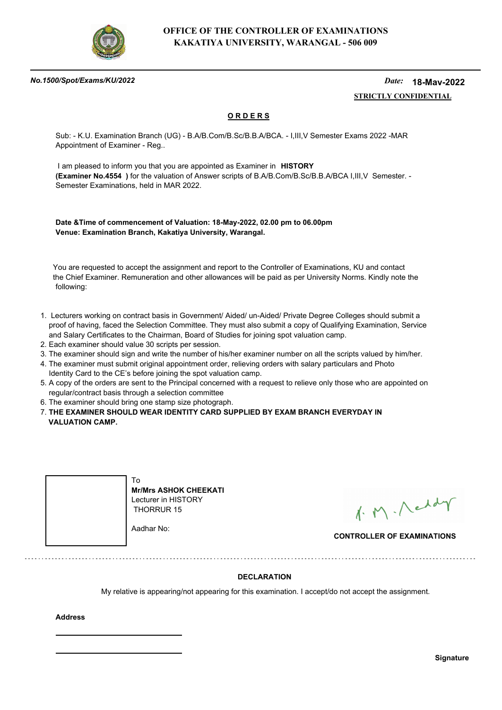

#### *No.1500/Spot/Exams/KU/2022*

#### *Date:*  **STRICTLY CONFIDENTIAL 18-May-2022**

## **O R D E R S**

Sub: - K.U. Examination Branch (UG) - B.A/B.Com/B.Sc/B.B.A/BCA. - I,III,V Semester Exams 2022 -MAR Appointment of Examiner - Reg..

 I am pleased to inform you that you are appointed as Examiner in **HISTORY (Examiner No.4554 )** for the valuation of Answer scripts of B.A/B.Com/B.Sc/B.B.A/BCA I,III,V Semester. - Semester Examinations, held in MAR 2022.

**Date &Time of commencement of Valuation: 18-May-2022, 02.00 pm to 06.00pm Venue: Examination Branch, Kakatiya University, Warangal.**

 You are requested to accept the assignment and report to the Controller of Examinations, KU and contact the Chief Examiner. Remuneration and other allowances will be paid as per University Norms. Kindly note the following:

- 1. Lecturers working on contract basis in Government/ Aided/ un-Aided/ Private Degree Colleges should submit a proof of having, faced the Selection Committee. They must also submit a copy of Qualifying Examination, Service and Salary Certificates to the Chairman, Board of Studies for joining spot valuation camp.
- 2. Each examiner should value 30 scripts per session.
- 3. The examiner should sign and write the number of his/her examiner number on all the scripts valued by him/her.
- 4. The examiner must submit original appointment order, relieving orders with salary particulars and Photo Identity Card to the CE's before joining the spot valuation camp.
- 5. A copy of the orders are sent to the Principal concerned with a request to relieve only those who are appointed on regular/contract basis through a selection committee
- 6. The examiner should bring one stamp size photograph.
- 7. **THE EXAMINER SHOULD WEAR IDENTITY CARD SUPPLIED BY EXAM BRANCH EVERYDAY IN VALUATION CAMP.**



**Mr/Mrs ASHOK CHEEKATI** Lecturer in HISTORY THORRUR 15

Aadhar No:

1. M. Neddy

**CONTROLLER OF EXAMINATIONS**

### **DECLARATION**

My relative is appearing/not appearing for this examination. I accept/do not accept the assignment.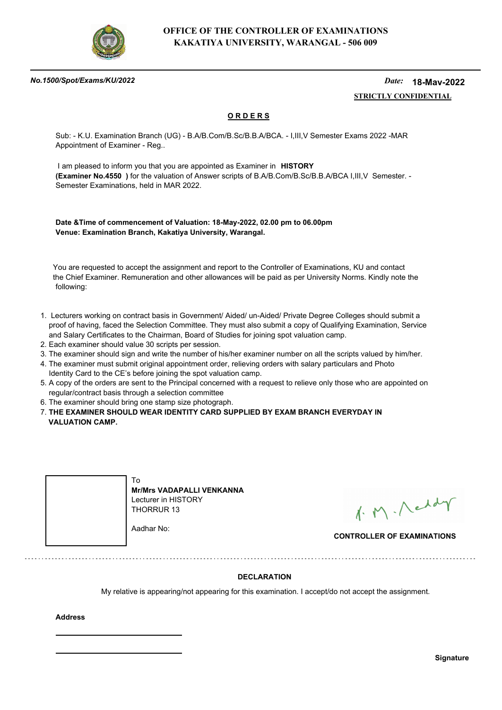

#### *No.1500/Spot/Exams/KU/2022*

#### *Date:*  **STRICTLY CONFIDENTIAL 18-May-2022**

## **O R D E R S**

Sub: - K.U. Examination Branch (UG) - B.A/B.Com/B.Sc/B.B.A/BCA. - I,III,V Semester Exams 2022 -MAR Appointment of Examiner - Reg..

 I am pleased to inform you that you are appointed as Examiner in **HISTORY (Examiner No.4550 )** for the valuation of Answer scripts of B.A/B.Com/B.Sc/B.B.A/BCA I,III,V Semester. - Semester Examinations, held in MAR 2022.

**Date &Time of commencement of Valuation: 18-May-2022, 02.00 pm to 06.00pm Venue: Examination Branch, Kakatiya University, Warangal.**

 You are requested to accept the assignment and report to the Controller of Examinations, KU and contact the Chief Examiner. Remuneration and other allowances will be paid as per University Norms. Kindly note the following:

- 1. Lecturers working on contract basis in Government/ Aided/ un-Aided/ Private Degree Colleges should submit a proof of having, faced the Selection Committee. They must also submit a copy of Qualifying Examination, Service and Salary Certificates to the Chairman, Board of Studies for joining spot valuation camp.
- 2. Each examiner should value 30 scripts per session.
- 3. The examiner should sign and write the number of his/her examiner number on all the scripts valued by him/her.
- 4. The examiner must submit original appointment order, relieving orders with salary particulars and Photo Identity Card to the CE's before joining the spot valuation camp.
- 5. A copy of the orders are sent to the Principal concerned with a request to relieve only those who are appointed on regular/contract basis through a selection committee
- 6. The examiner should bring one stamp size photograph.
- 7. **THE EXAMINER SHOULD WEAR IDENTITY CARD SUPPLIED BY EXAM BRANCH EVERYDAY IN VALUATION CAMP.**



**Mr/Mrs VADAPALLI VENKANNA** Lecturer in HISTORY THORRUR 13

1. M. Neddy

**CONTROLLER OF EXAMINATIONS**

### **DECLARATION**

My relative is appearing/not appearing for this examination. I accept/do not accept the assignment.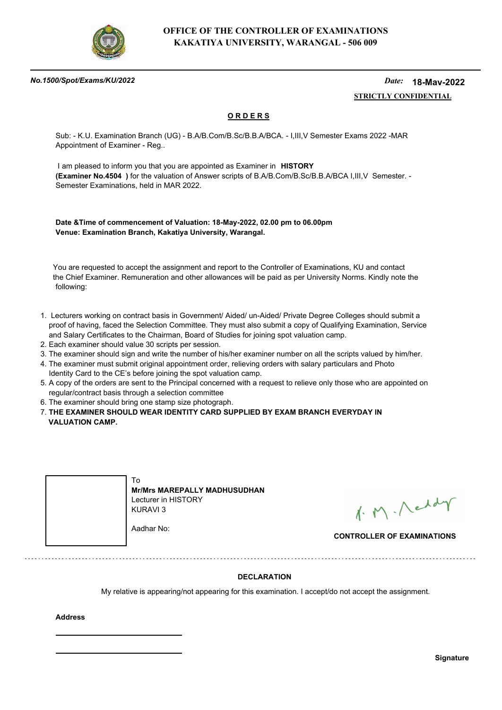

#### *No.1500/Spot/Exams/KU/2022*

#### *Date:*  **STRICTLY CONFIDENTIAL 18-May-2022**

## **O R D E R S**

Sub: - K.U. Examination Branch (UG) - B.A/B.Com/B.Sc/B.B.A/BCA. - I,III,V Semester Exams 2022 -MAR Appointment of Examiner - Reg..

 I am pleased to inform you that you are appointed as Examiner in **HISTORY (Examiner No.4504 )** for the valuation of Answer scripts of B.A/B.Com/B.Sc/B.B.A/BCA I,III,V Semester. - Semester Examinations, held in MAR 2022.

**Date &Time of commencement of Valuation: 18-May-2022, 02.00 pm to 06.00pm Venue: Examination Branch, Kakatiya University, Warangal.**

 You are requested to accept the assignment and report to the Controller of Examinations, KU and contact the Chief Examiner. Remuneration and other allowances will be paid as per University Norms. Kindly note the following:

- 1. Lecturers working on contract basis in Government/ Aided/ un-Aided/ Private Degree Colleges should submit a proof of having, faced the Selection Committee. They must also submit a copy of Qualifying Examination, Service and Salary Certificates to the Chairman, Board of Studies for joining spot valuation camp.
- 2. Each examiner should value 30 scripts per session.
- 3. The examiner should sign and write the number of his/her examiner number on all the scripts valued by him/her.
- 4. The examiner must submit original appointment order, relieving orders with salary particulars and Photo Identity Card to the CE's before joining the spot valuation camp.
- 5. A copy of the orders are sent to the Principal concerned with a request to relieve only those who are appointed on regular/contract basis through a selection committee
- 6. The examiner should bring one stamp size photograph.
- 7. **THE EXAMINER SHOULD WEAR IDENTITY CARD SUPPLIED BY EXAM BRANCH EVERYDAY IN VALUATION CAMP.**



1. M. Neddy

**CONTROLLER OF EXAMINATIONS**

### **DECLARATION**

My relative is appearing/not appearing for this examination. I accept/do not accept the assignment.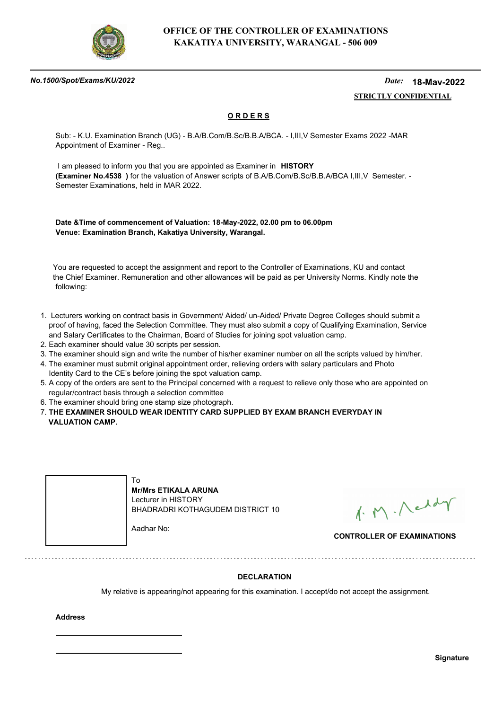

#### *No.1500/Spot/Exams/KU/2022*

#### *Date:*  **STRICTLY CONFIDENTIAL 18-May-2022**

## **O R D E R S**

Sub: - K.U. Examination Branch (UG) - B.A/B.Com/B.Sc/B.B.A/BCA. - I,III,V Semester Exams 2022 -MAR Appointment of Examiner - Reg..

 I am pleased to inform you that you are appointed as Examiner in **HISTORY (Examiner No.4538 )** for the valuation of Answer scripts of B.A/B.Com/B.Sc/B.B.A/BCA I,III,V Semester. - Semester Examinations, held in MAR 2022.

**Date &Time of commencement of Valuation: 18-May-2022, 02.00 pm to 06.00pm Venue: Examination Branch, Kakatiya University, Warangal.**

 You are requested to accept the assignment and report to the Controller of Examinations, KU and contact the Chief Examiner. Remuneration and other allowances will be paid as per University Norms. Kindly note the following:

- 1. Lecturers working on contract basis in Government/ Aided/ un-Aided/ Private Degree Colleges should submit a proof of having, faced the Selection Committee. They must also submit a copy of Qualifying Examination, Service and Salary Certificates to the Chairman, Board of Studies for joining spot valuation camp.
- 2. Each examiner should value 30 scripts per session.
- 3. The examiner should sign and write the number of his/her examiner number on all the scripts valued by him/her.
- 4. The examiner must submit original appointment order, relieving orders with salary particulars and Photo Identity Card to the CE's before joining the spot valuation camp.
- 5. A copy of the orders are sent to the Principal concerned with a request to relieve only those who are appointed on regular/contract basis through a selection committee
- 6. The examiner should bring one stamp size photograph.
- 7. **THE EXAMINER SHOULD WEAR IDENTITY CARD SUPPLIED BY EXAM BRANCH EVERYDAY IN VALUATION CAMP.**



1. M. Neddy

**CONTROLLER OF EXAMINATIONS**

### **DECLARATION**

My relative is appearing/not appearing for this examination. I accept/do not accept the assignment.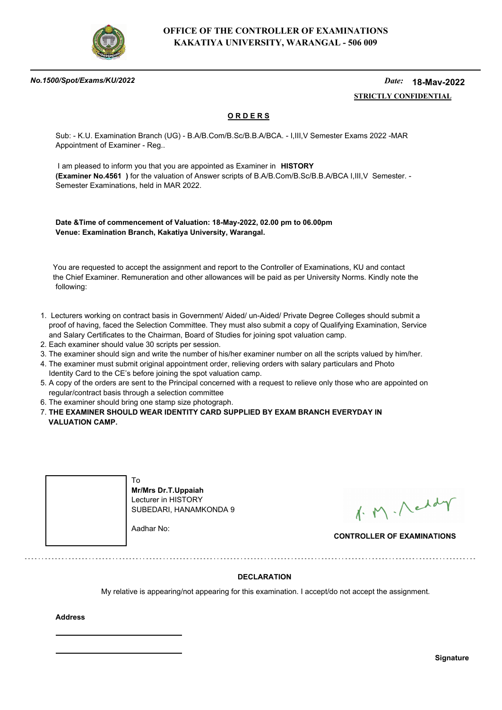

#### *No.1500/Spot/Exams/KU/2022*

#### *Date:*  **STRICTLY CONFIDENTIAL 18-May-2022**

## **O R D E R S**

Sub: - K.U. Examination Branch (UG) - B.A/B.Com/B.Sc/B.B.A/BCA. - I,III,V Semester Exams 2022 -MAR Appointment of Examiner - Reg..

 I am pleased to inform you that you are appointed as Examiner in **HISTORY (Examiner No.4561 )** for the valuation of Answer scripts of B.A/B.Com/B.Sc/B.B.A/BCA I,III,V Semester. - Semester Examinations, held in MAR 2022.

**Date &Time of commencement of Valuation: 18-May-2022, 02.00 pm to 06.00pm Venue: Examination Branch, Kakatiya University, Warangal.**

 You are requested to accept the assignment and report to the Controller of Examinations, KU and contact the Chief Examiner. Remuneration and other allowances will be paid as per University Norms. Kindly note the following:

- 1. Lecturers working on contract basis in Government/ Aided/ un-Aided/ Private Degree Colleges should submit a proof of having, faced the Selection Committee. They must also submit a copy of Qualifying Examination, Service and Salary Certificates to the Chairman, Board of Studies for joining spot valuation camp.
- 2. Each examiner should value 30 scripts per session.
- 3. The examiner should sign and write the number of his/her examiner number on all the scripts valued by him/her.
- 4. The examiner must submit original appointment order, relieving orders with salary particulars and Photo Identity Card to the CE's before joining the spot valuation camp.
- 5. A copy of the orders are sent to the Principal concerned with a request to relieve only those who are appointed on regular/contract basis through a selection committee
- 6. The examiner should bring one stamp size photograph.
- 7. **THE EXAMINER SHOULD WEAR IDENTITY CARD SUPPLIED BY EXAM BRANCH EVERYDAY IN VALUATION CAMP.**



1. M. Neddy

**CONTROLLER OF EXAMINATIONS**

### **DECLARATION**

My relative is appearing/not appearing for this examination. I accept/do not accept the assignment.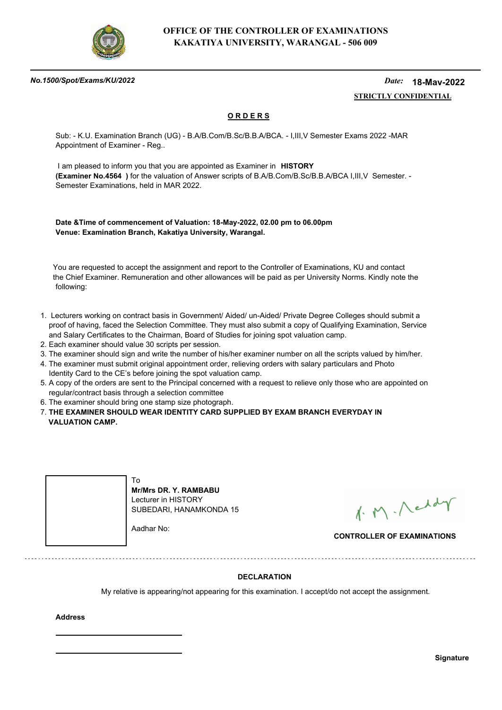

#### *No.1500/Spot/Exams/KU/2022*

#### *Date:*  **STRICTLY CONFIDENTIAL 18-May-2022**

## **O R D E R S**

Sub: - K.U. Examination Branch (UG) - B.A/B.Com/B.Sc/B.B.A/BCA. - I,III,V Semester Exams 2022 -MAR Appointment of Examiner - Reg..

 I am pleased to inform you that you are appointed as Examiner in **HISTORY (Examiner No.4564 )** for the valuation of Answer scripts of B.A/B.Com/B.Sc/B.B.A/BCA I,III,V Semester. - Semester Examinations, held in MAR 2022.

**Date &Time of commencement of Valuation: 18-May-2022, 02.00 pm to 06.00pm Venue: Examination Branch, Kakatiya University, Warangal.**

 You are requested to accept the assignment and report to the Controller of Examinations, KU and contact the Chief Examiner. Remuneration and other allowances will be paid as per University Norms. Kindly note the following:

- 1. Lecturers working on contract basis in Government/ Aided/ un-Aided/ Private Degree Colleges should submit a proof of having, faced the Selection Committee. They must also submit a copy of Qualifying Examination, Service and Salary Certificates to the Chairman, Board of Studies for joining spot valuation camp.
- 2. Each examiner should value 30 scripts per session.
- 3. The examiner should sign and write the number of his/her examiner number on all the scripts valued by him/her.
- 4. The examiner must submit original appointment order, relieving orders with salary particulars and Photo Identity Card to the CE's before joining the spot valuation camp.
- 5. A copy of the orders are sent to the Principal concerned with a request to relieve only those who are appointed on regular/contract basis through a selection committee
- 6. The examiner should bring one stamp size photograph.
- 7. **THE EXAMINER SHOULD WEAR IDENTITY CARD SUPPLIED BY EXAM BRANCH EVERYDAY IN VALUATION CAMP.**



1. M. Neddy

**CONTROLLER OF EXAMINATIONS**

### **DECLARATION**

My relative is appearing/not appearing for this examination. I accept/do not accept the assignment.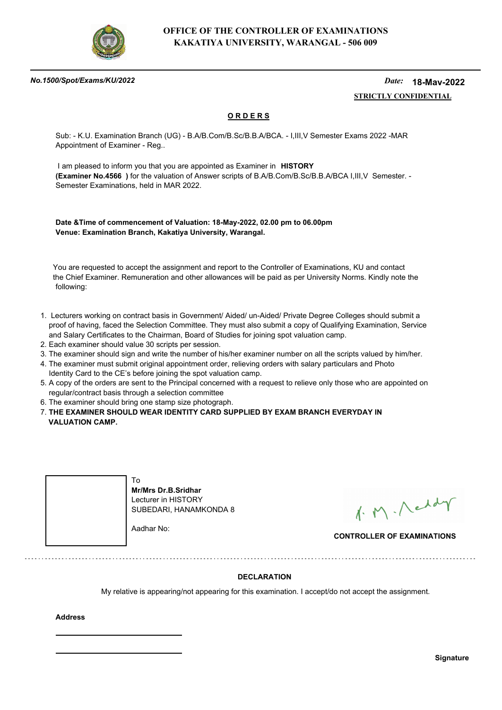

#### *No.1500/Spot/Exams/KU/2022*

#### *Date:*  **STRICTLY CONFIDENTIAL 18-May-2022**

## **O R D E R S**

Sub: - K.U. Examination Branch (UG) - B.A/B.Com/B.Sc/B.B.A/BCA. - I,III,V Semester Exams 2022 -MAR Appointment of Examiner - Reg..

 I am pleased to inform you that you are appointed as Examiner in **HISTORY (Examiner No.4566 )** for the valuation of Answer scripts of B.A/B.Com/B.Sc/B.B.A/BCA I,III,V Semester. - Semester Examinations, held in MAR 2022.

**Date &Time of commencement of Valuation: 18-May-2022, 02.00 pm to 06.00pm Venue: Examination Branch, Kakatiya University, Warangal.**

 You are requested to accept the assignment and report to the Controller of Examinations, KU and contact the Chief Examiner. Remuneration and other allowances will be paid as per University Norms. Kindly note the following:

- 1. Lecturers working on contract basis in Government/ Aided/ un-Aided/ Private Degree Colleges should submit a proof of having, faced the Selection Committee. They must also submit a copy of Qualifying Examination, Service and Salary Certificates to the Chairman, Board of Studies for joining spot valuation camp.
- 2. Each examiner should value 30 scripts per session.
- 3. The examiner should sign and write the number of his/her examiner number on all the scripts valued by him/her.
- 4. The examiner must submit original appointment order, relieving orders with salary particulars and Photo Identity Card to the CE's before joining the spot valuation camp.
- 5. A copy of the orders are sent to the Principal concerned with a request to relieve only those who are appointed on regular/contract basis through a selection committee
- 6. The examiner should bring one stamp size photograph.
- 7. **THE EXAMINER SHOULD WEAR IDENTITY CARD SUPPLIED BY EXAM BRANCH EVERYDAY IN VALUATION CAMP.**



1. M. Neddy

**CONTROLLER OF EXAMINATIONS**

### **DECLARATION**

My relative is appearing/not appearing for this examination. I accept/do not accept the assignment.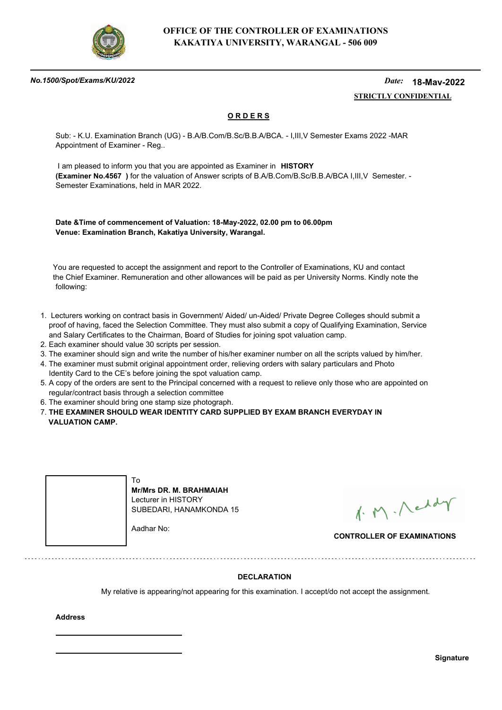

#### *No.1500/Spot/Exams/KU/2022*

#### *Date:*  **STRICTLY CONFIDENTIAL 18-May-2022**

## **O R D E R S**

Sub: - K.U. Examination Branch (UG) - B.A/B.Com/B.Sc/B.B.A/BCA. - I,III,V Semester Exams 2022 -MAR Appointment of Examiner - Reg..

 I am pleased to inform you that you are appointed as Examiner in **HISTORY (Examiner No.4567 )** for the valuation of Answer scripts of B.A/B.Com/B.Sc/B.B.A/BCA I,III,V Semester. - Semester Examinations, held in MAR 2022.

**Date &Time of commencement of Valuation: 18-May-2022, 02.00 pm to 06.00pm Venue: Examination Branch, Kakatiya University, Warangal.**

 You are requested to accept the assignment and report to the Controller of Examinations, KU and contact the Chief Examiner. Remuneration and other allowances will be paid as per University Norms. Kindly note the following:

- 1. Lecturers working on contract basis in Government/ Aided/ un-Aided/ Private Degree Colleges should submit a proof of having, faced the Selection Committee. They must also submit a copy of Qualifying Examination, Service and Salary Certificates to the Chairman, Board of Studies for joining spot valuation camp.
- 2. Each examiner should value 30 scripts per session.
- 3. The examiner should sign and write the number of his/her examiner number on all the scripts valued by him/her.
- 4. The examiner must submit original appointment order, relieving orders with salary particulars and Photo Identity Card to the CE's before joining the spot valuation camp.
- 5. A copy of the orders are sent to the Principal concerned with a request to relieve only those who are appointed on regular/contract basis through a selection committee
- 6. The examiner should bring one stamp size photograph.
- 7. **THE EXAMINER SHOULD WEAR IDENTITY CARD SUPPLIED BY EXAM BRANCH EVERYDAY IN VALUATION CAMP.**



1. M. Neddy

**CONTROLLER OF EXAMINATIONS**

### **DECLARATION**

My relative is appearing/not appearing for this examination. I accept/do not accept the assignment.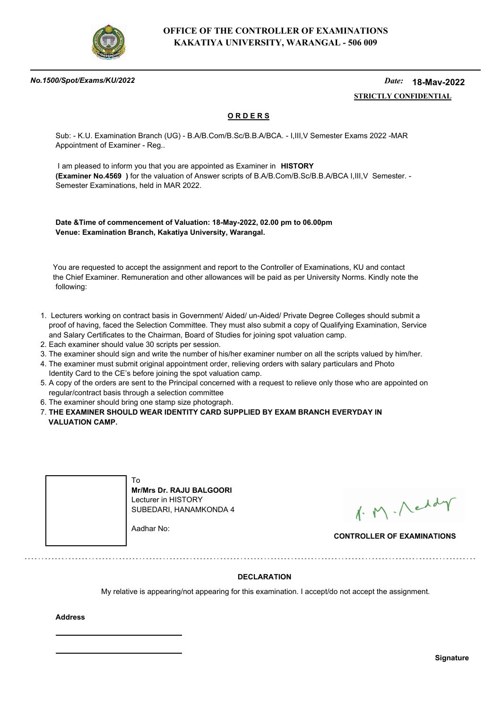

#### *No.1500/Spot/Exams/KU/2022*

#### *Date:*  **STRICTLY CONFIDENTIAL 18-May-2022**

## **O R D E R S**

Sub: - K.U. Examination Branch (UG) - B.A/B.Com/B.Sc/B.B.A/BCA. - I,III,V Semester Exams 2022 -MAR Appointment of Examiner - Reg..

 I am pleased to inform you that you are appointed as Examiner in **HISTORY (Examiner No.4569 )** for the valuation of Answer scripts of B.A/B.Com/B.Sc/B.B.A/BCA I,III,V Semester. - Semester Examinations, held in MAR 2022.

**Date &Time of commencement of Valuation: 18-May-2022, 02.00 pm to 06.00pm Venue: Examination Branch, Kakatiya University, Warangal.**

 You are requested to accept the assignment and report to the Controller of Examinations, KU and contact the Chief Examiner. Remuneration and other allowances will be paid as per University Norms. Kindly note the following:

- 1. Lecturers working on contract basis in Government/ Aided/ un-Aided/ Private Degree Colleges should submit a proof of having, faced the Selection Committee. They must also submit a copy of Qualifying Examination, Service and Salary Certificates to the Chairman, Board of Studies for joining spot valuation camp.
- 2. Each examiner should value 30 scripts per session.
- 3. The examiner should sign and write the number of his/her examiner number on all the scripts valued by him/her.
- 4. The examiner must submit original appointment order, relieving orders with salary particulars and Photo Identity Card to the CE's before joining the spot valuation camp.
- 5. A copy of the orders are sent to the Principal concerned with a request to relieve only those who are appointed on regular/contract basis through a selection committee
- 6. The examiner should bring one stamp size photograph.
- 7. **THE EXAMINER SHOULD WEAR IDENTITY CARD SUPPLIED BY EXAM BRANCH EVERYDAY IN VALUATION CAMP.**



1. M. Neddy

**CONTROLLER OF EXAMINATIONS**

### **DECLARATION**

My relative is appearing/not appearing for this examination. I accept/do not accept the assignment.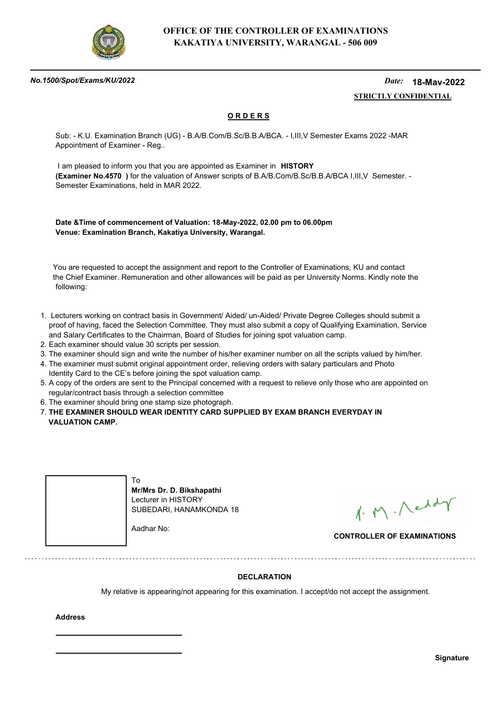

#### *No.1500/Spot/Exams/KU/2022*

#### *Date:*  **STRICTLY CONFIDENTIAL 18-May-2022**

## **O R D E R S**

Sub: - K.U. Examination Branch (UG) - B.A/B.Com/B.Sc/B.B.A/BCA. - I,III,V Semester Exams 2022 -MAR Appointment of Examiner - Reg..

 I am pleased to inform you that you are appointed as Examiner in **HISTORY (Examiner No.4570 )** for the valuation of Answer scripts of B.A/B.Com/B.Sc/B.B.A/BCA I,III,V Semester. - Semester Examinations, held in MAR 2022.

**Date &Time of commencement of Valuation: 18-May-2022, 02.00 pm to 06.00pm Venue: Examination Branch, Kakatiya University, Warangal.**

 You are requested to accept the assignment and report to the Controller of Examinations, KU and contact the Chief Examiner. Remuneration and other allowances will be paid as per University Norms. Kindly note the following:

- 1. Lecturers working on contract basis in Government/ Aided/ un-Aided/ Private Degree Colleges should submit a proof of having, faced the Selection Committee. They must also submit a copy of Qualifying Examination, Service and Salary Certificates to the Chairman, Board of Studies for joining spot valuation camp.
- 2. Each examiner should value 30 scripts per session.
- 3. The examiner should sign and write the number of his/her examiner number on all the scripts valued by him/her.
- 4. The examiner must submit original appointment order, relieving orders with salary particulars and Photo Identity Card to the CE's before joining the spot valuation camp.
- 5. A copy of the orders are sent to the Principal concerned with a request to relieve only those who are appointed on regular/contract basis through a selection committee
- 6. The examiner should bring one stamp size photograph.

7. **THE EXAMINER SHOULD WEAR IDENTITY CARD SUPPLIED BY EXAM BRANCH EVERYDAY IN VALUATION CAMP.**



**Mr/Mrs Dr. D. Bikshapathi** Lecturer in HISTORY SUBEDARI, HANAMKONDA 18

1. M. Neddy

**CONTROLLER OF EXAMINATIONS**

### **DECLARATION**

My relative is appearing/not appearing for this examination. I accept/do not accept the assignment.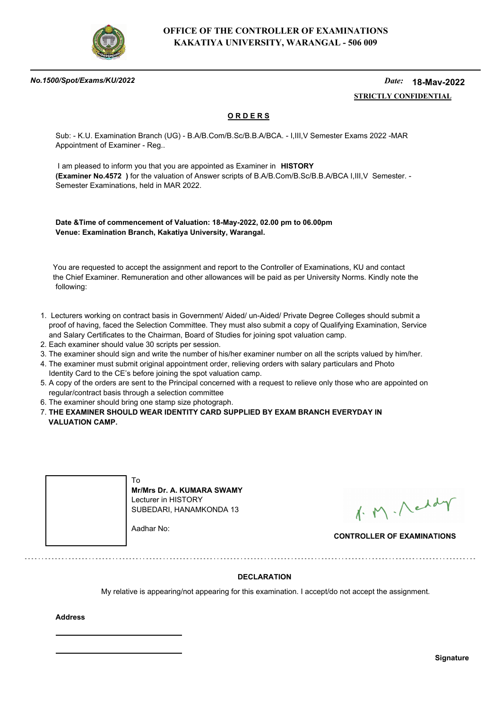

#### *No.1500/Spot/Exams/KU/2022*

#### *Date:*  **STRICTLY CONFIDENTIAL 18-May-2022**

## **O R D E R S**

Sub: - K.U. Examination Branch (UG) - B.A/B.Com/B.Sc/B.B.A/BCA. - I,III,V Semester Exams 2022 -MAR Appointment of Examiner - Reg..

 I am pleased to inform you that you are appointed as Examiner in **HISTORY (Examiner No.4572 )** for the valuation of Answer scripts of B.A/B.Com/B.Sc/B.B.A/BCA I,III,V Semester. - Semester Examinations, held in MAR 2022.

**Date &Time of commencement of Valuation: 18-May-2022, 02.00 pm to 06.00pm Venue: Examination Branch, Kakatiya University, Warangal.**

 You are requested to accept the assignment and report to the Controller of Examinations, KU and contact the Chief Examiner. Remuneration and other allowances will be paid as per University Norms. Kindly note the following:

- 1. Lecturers working on contract basis in Government/ Aided/ un-Aided/ Private Degree Colleges should submit a proof of having, faced the Selection Committee. They must also submit a copy of Qualifying Examination, Service and Salary Certificates to the Chairman, Board of Studies for joining spot valuation camp.
- 2. Each examiner should value 30 scripts per session.
- 3. The examiner should sign and write the number of his/her examiner number on all the scripts valued by him/her.
- 4. The examiner must submit original appointment order, relieving orders with salary particulars and Photo Identity Card to the CE's before joining the spot valuation camp.
- 5. A copy of the orders are sent to the Principal concerned with a request to relieve only those who are appointed on regular/contract basis through a selection committee
- 6. The examiner should bring one stamp size photograph.
- 7. **THE EXAMINER SHOULD WEAR IDENTITY CARD SUPPLIED BY EXAM BRANCH EVERYDAY IN VALUATION CAMP.**



1. M. Neddy

**CONTROLLER OF EXAMINATIONS**

### **DECLARATION**

My relative is appearing/not appearing for this examination. I accept/do not accept the assignment.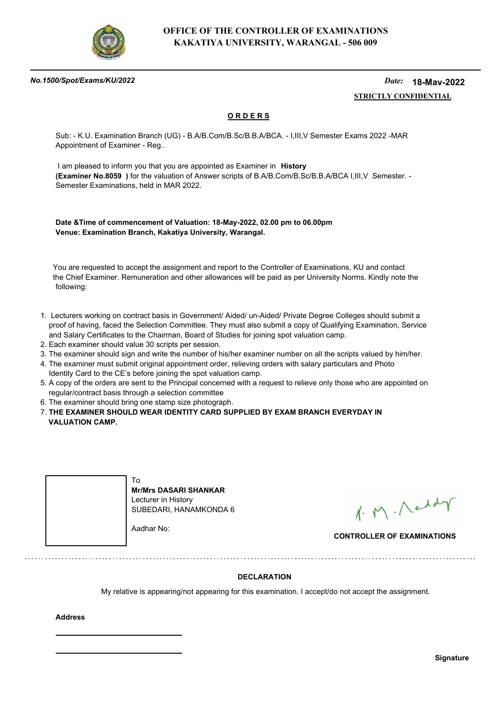

#### *No.1500/Spot/Exams/KU/2022*

#### *Date:*  **STRICTLY CONFIDENTIAL 18-May-2022**

## **O R D E R S**

Sub: - K.U. Examination Branch (UG) - B.A/B.Com/B.Sc/B.B.A/BCA. - I,III,V Semester Exams 2022 -MAR Appointment of Examiner - Reg..

 I am pleased to inform you that you are appointed as Examiner in **History (Examiner No.8059 )** for the valuation of Answer scripts of B.A/B.Com/B.Sc/B.B.A/BCA I,III,V Semester. - Semester Examinations, held in MAR 2022.

**Date &Time of commencement of Valuation: 18-May-2022, 02.00 pm to 06.00pm Venue: Examination Branch, Kakatiya University, Warangal.**

 You are requested to accept the assignment and report to the Controller of Examinations, KU and contact the Chief Examiner. Remuneration and other allowances will be paid as per University Norms. Kindly note the following:

- 1. Lecturers working on contract basis in Government/ Aided/ un-Aided/ Private Degree Colleges should submit a proof of having, faced the Selection Committee. They must also submit a copy of Qualifying Examination, Service and Salary Certificates to the Chairman, Board of Studies for joining spot valuation camp.
- 2. Each examiner should value 30 scripts per session.
- 3. The examiner should sign and write the number of his/her examiner number on all the scripts valued by him/her.
- 4. The examiner must submit original appointment order, relieving orders with salary particulars and Photo Identity Card to the CE's before joining the spot valuation camp.
- 5. A copy of the orders are sent to the Principal concerned with a request to relieve only those who are appointed on regular/contract basis through a selection committee
- 6. The examiner should bring one stamp size photograph.
- 7. **THE EXAMINER SHOULD WEAR IDENTITY CARD SUPPLIED BY EXAM BRANCH EVERYDAY IN VALUATION CAMP.**



1. M. Neddy

**CONTROLLER OF EXAMINATIONS**

### **DECLARATION**

My relative is appearing/not appearing for this examination. I accept/do not accept the assignment.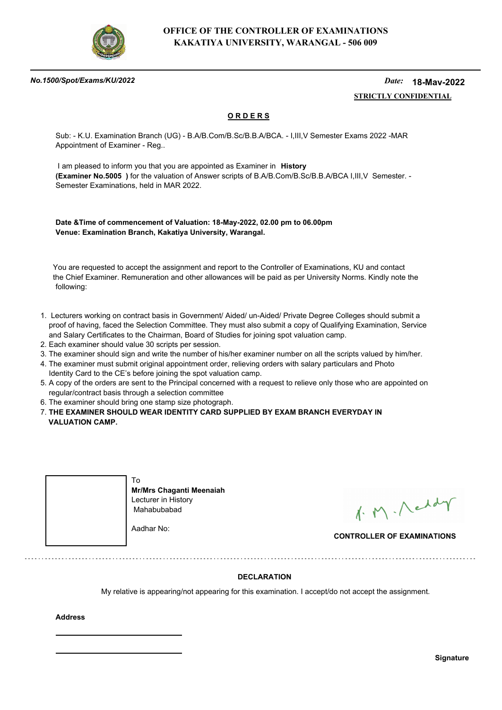

#### *No.1500/Spot/Exams/KU/2022*

#### *Date:*  **STRICTLY CONFIDENTIAL 18-May-2022**

## **O R D E R S**

Sub: - K.U. Examination Branch (UG) - B.A/B.Com/B.Sc/B.B.A/BCA. - I,III,V Semester Exams 2022 -MAR Appointment of Examiner - Reg..

 I am pleased to inform you that you are appointed as Examiner in **History (Examiner No.5005 )** for the valuation of Answer scripts of B.A/B.Com/B.Sc/B.B.A/BCA I,III,V Semester. - Semester Examinations, held in MAR 2022.

**Date &Time of commencement of Valuation: 18-May-2022, 02.00 pm to 06.00pm Venue: Examination Branch, Kakatiya University, Warangal.**

 You are requested to accept the assignment and report to the Controller of Examinations, KU and contact the Chief Examiner. Remuneration and other allowances will be paid as per University Norms. Kindly note the following:

- 1. Lecturers working on contract basis in Government/ Aided/ un-Aided/ Private Degree Colleges should submit a proof of having, faced the Selection Committee. They must also submit a copy of Qualifying Examination, Service and Salary Certificates to the Chairman, Board of Studies for joining spot valuation camp.
- 2. Each examiner should value 30 scripts per session.
- 3. The examiner should sign and write the number of his/her examiner number on all the scripts valued by him/her.
- 4. The examiner must submit original appointment order, relieving orders with salary particulars and Photo Identity Card to the CE's before joining the spot valuation camp.
- 5. A copy of the orders are sent to the Principal concerned with a request to relieve only those who are appointed on regular/contract basis through a selection committee
- 6. The examiner should bring one stamp size photograph.

7. **THE EXAMINER SHOULD WEAR IDENTITY CARD SUPPLIED BY EXAM BRANCH EVERYDAY IN VALUATION CAMP.**



1. M. Neddy

**CONTROLLER OF EXAMINATIONS**

### **DECLARATION**

My relative is appearing/not appearing for this examination. I accept/do not accept the assignment.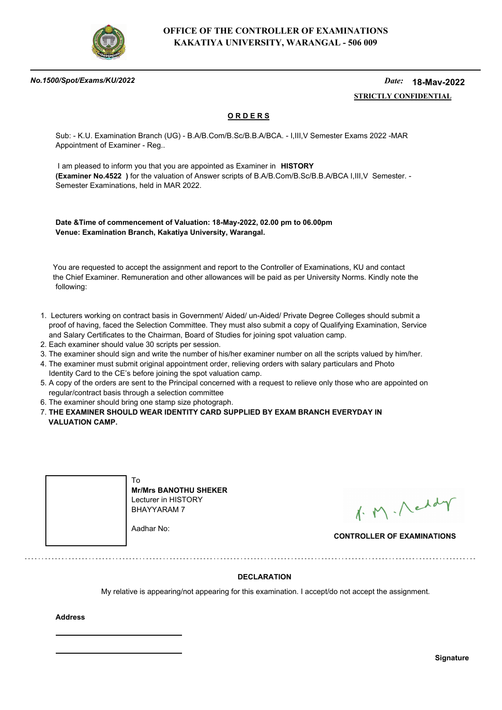

#### *No.1500/Spot/Exams/KU/2022*

#### *Date:*  **STRICTLY CONFIDENTIAL 18-May-2022**

## **O R D E R S**

Sub: - K.U. Examination Branch (UG) - B.A/B.Com/B.Sc/B.B.A/BCA. - I,III,V Semester Exams 2022 -MAR Appointment of Examiner - Reg..

 I am pleased to inform you that you are appointed as Examiner in **HISTORY (Examiner No.4522 )** for the valuation of Answer scripts of B.A/B.Com/B.Sc/B.B.A/BCA I,III,V Semester. - Semester Examinations, held in MAR 2022.

**Date &Time of commencement of Valuation: 18-May-2022, 02.00 pm to 06.00pm Venue: Examination Branch, Kakatiya University, Warangal.**

 You are requested to accept the assignment and report to the Controller of Examinations, KU and contact the Chief Examiner. Remuneration and other allowances will be paid as per University Norms. Kindly note the following:

- 1. Lecturers working on contract basis in Government/ Aided/ un-Aided/ Private Degree Colleges should submit a proof of having, faced the Selection Committee. They must also submit a copy of Qualifying Examination, Service and Salary Certificates to the Chairman, Board of Studies for joining spot valuation camp.
- 2. Each examiner should value 30 scripts per session.
- 3. The examiner should sign and write the number of his/her examiner number on all the scripts valued by him/her.
- 4. The examiner must submit original appointment order, relieving orders with salary particulars and Photo Identity Card to the CE's before joining the spot valuation camp.
- 5. A copy of the orders are sent to the Principal concerned with a request to relieve only those who are appointed on regular/contract basis through a selection committee
- 6. The examiner should bring one stamp size photograph.
- 7. **THE EXAMINER SHOULD WEAR IDENTITY CARD SUPPLIED BY EXAM BRANCH EVERYDAY IN VALUATION CAMP.**



**Mr/Mrs BANOTHU SHEKER** Lecturer in HISTORY BHAYYARAM 7

Aadhar No:

1. M. Neddy

**CONTROLLER OF EXAMINATIONS**

### **DECLARATION**

My relative is appearing/not appearing for this examination. I accept/do not accept the assignment.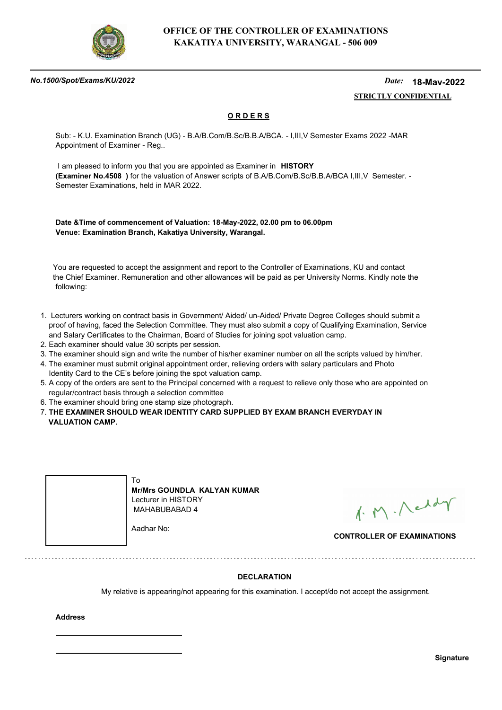

#### *No.1500/Spot/Exams/KU/2022*

#### *Date:*  **STRICTLY CONFIDENTIAL 18-May-2022**

## **O R D E R S**

Sub: - K.U. Examination Branch (UG) - B.A/B.Com/B.Sc/B.B.A/BCA. - I,III,V Semester Exams 2022 -MAR Appointment of Examiner - Reg..

 I am pleased to inform you that you are appointed as Examiner in **HISTORY (Examiner No.4508 )** for the valuation of Answer scripts of B.A/B.Com/B.Sc/B.B.A/BCA I,III,V Semester. - Semester Examinations, held in MAR 2022.

**Date &Time of commencement of Valuation: 18-May-2022, 02.00 pm to 06.00pm Venue: Examination Branch, Kakatiya University, Warangal.**

 You are requested to accept the assignment and report to the Controller of Examinations, KU and contact the Chief Examiner. Remuneration and other allowances will be paid as per University Norms. Kindly note the following:

- 1. Lecturers working on contract basis in Government/ Aided/ un-Aided/ Private Degree Colleges should submit a proof of having, faced the Selection Committee. They must also submit a copy of Qualifying Examination, Service and Salary Certificates to the Chairman, Board of Studies for joining spot valuation camp.
- 2. Each examiner should value 30 scripts per session.
- 3. The examiner should sign and write the number of his/her examiner number on all the scripts valued by him/her.
- 4. The examiner must submit original appointment order, relieving orders with salary particulars and Photo Identity Card to the CE's before joining the spot valuation camp.
- 5. A copy of the orders are sent to the Principal concerned with a request to relieve only those who are appointed on regular/contract basis through a selection committee
- 6. The examiner should bring one stamp size photograph.

7. **THE EXAMINER SHOULD WEAR IDENTITY CARD SUPPLIED BY EXAM BRANCH EVERYDAY IN VALUATION CAMP.**



**Mr/Mrs GOUNDLA KALYAN KUMAR** Lecturer in HISTORY MAHABUBABAD 4

1. M. Neddy

**CONTROLLER OF EXAMINATIONS**

### **DECLARATION**

My relative is appearing/not appearing for this examination. I accept/do not accept the assignment.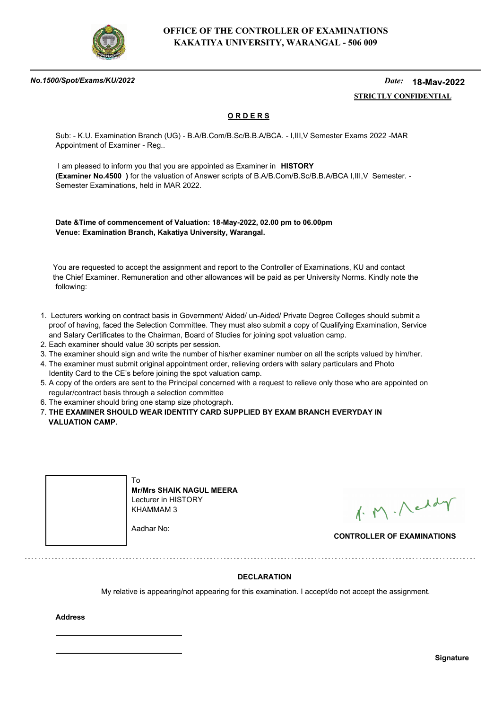

#### *No.1500/Spot/Exams/KU/2022*

#### *Date:*  **STRICTLY CONFIDENTIAL 18-May-2022**

## **O R D E R S**

Sub: - K.U. Examination Branch (UG) - B.A/B.Com/B.Sc/B.B.A/BCA. - I,III,V Semester Exams 2022 -MAR Appointment of Examiner - Reg..

 I am pleased to inform you that you are appointed as Examiner in **HISTORY (Examiner No.4500 )** for the valuation of Answer scripts of B.A/B.Com/B.Sc/B.B.A/BCA I,III,V Semester. - Semester Examinations, held in MAR 2022.

**Date &Time of commencement of Valuation: 18-May-2022, 02.00 pm to 06.00pm Venue: Examination Branch, Kakatiya University, Warangal.**

 You are requested to accept the assignment and report to the Controller of Examinations, KU and contact the Chief Examiner. Remuneration and other allowances will be paid as per University Norms. Kindly note the following:

- 1. Lecturers working on contract basis in Government/ Aided/ un-Aided/ Private Degree Colleges should submit a proof of having, faced the Selection Committee. They must also submit a copy of Qualifying Examination, Service and Salary Certificates to the Chairman, Board of Studies for joining spot valuation camp.
- 2. Each examiner should value 30 scripts per session.
- 3. The examiner should sign and write the number of his/her examiner number on all the scripts valued by him/her.
- 4. The examiner must submit original appointment order, relieving orders with salary particulars and Photo Identity Card to the CE's before joining the spot valuation camp.
- 5. A copy of the orders are sent to the Principal concerned with a request to relieve only those who are appointed on regular/contract basis through a selection committee
- 6. The examiner should bring one stamp size photograph.
- 7. **THE EXAMINER SHOULD WEAR IDENTITY CARD SUPPLIED BY EXAM BRANCH EVERYDAY IN VALUATION CAMP.**



**Mr/Mrs SHAIK NAGUL MEERA** Lecturer in HISTORY KHAMMAM 3

Aadhar No:

1. M. Neddy

**CONTROLLER OF EXAMINATIONS**

### **DECLARATION**

My relative is appearing/not appearing for this examination. I accept/do not accept the assignment.